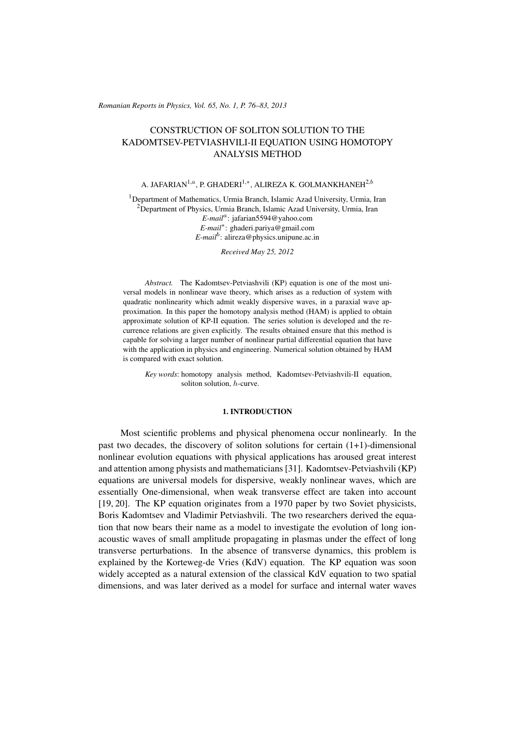(c) RRP 65(No. 1) 76–83 2013 *Romanian Reports in Physics, Vol. 65, No. 1, P. 76–83, 2013*

# CONSTRUCTION OF SOLITON SOLUTION TO THE KADOMTSEV-PETVIASHVILI-II EQUATION USING HOMOTOPY ANALYSIS METHOD

## A. JAFARIAN1,*<sup>a</sup>* , P. GHADERI1,*<sup>∗</sup>* , ALIREZA K. GOLMANKHANEH2,*<sup>b</sup>*

<sup>1</sup>Department of Mathematics, Urmia Branch, Islamic Azad University, Urmia, Iran  $2$ Department of Physics, Urmia Branch, Islamic Azad University, Urmia, Iran *E-mail<sup>a</sup>* : jafarian5594@yahoo.com *E-mail∗* : ghaderi.pariya@gmail.com *E-mail<sup>b</sup>* : alireza@physics.unipune.ac.in

*Received May 25, 2012*

*Abstract.* The Kadomtsev-Petviashvili (KP) equation is one of the most universal models in nonlinear wave theory, which arises as a reduction of system with quadratic nonlinearity which admit weakly dispersive waves, in a paraxial wave approximation. In this paper the homotopy analysis method (HAM) is applied to obtain approximate solution of KP-II equation. The series solution is developed and the recurrence relations are given explicitly. The results obtained ensure that this method is capable for solving a larger number of nonlinear partial differential equation that have with the application in physics and engineering. Numerical solution obtained by HAM is compared with exact solution.

*Key words*: homotopy analysis method, Kadomtsev-Petviashvili-II equation, soliton solution, *h*-curve.

## 1. INTRODUCTION

Most scientific problems and physical phenomena occur nonlinearly. In the past two decades, the discovery of soliton solutions for certain  $(1+1)$ -dimensional nonlinear evolution equations with physical applications has aroused great interest and attention among physists and mathematicians [31]. Kadomtsev-Petviashvili (KP) equations are universal models for dispersive, weakly nonlinear waves, which are essentially One-dimensional, when weak transverse effect are taken into account [19, 20]. The KP equation originates from a 1970 paper by two Soviet physicists, Boris Kadomtsev and Vladimir Petviashvili. The two researchers derived the equation that now bears their name as a model to investigate the evolution of long ionacoustic waves of small amplitude propagating in plasmas under the effect of long transverse perturbations. In the absence of transverse dynamics, this problem is explained by the Korteweg-de Vries (KdV) equation. The KP equation was soon widely accepted as a natural extension of the classical KdV equation to two spatial dimensions, and was later derived as a model for surface and internal water waves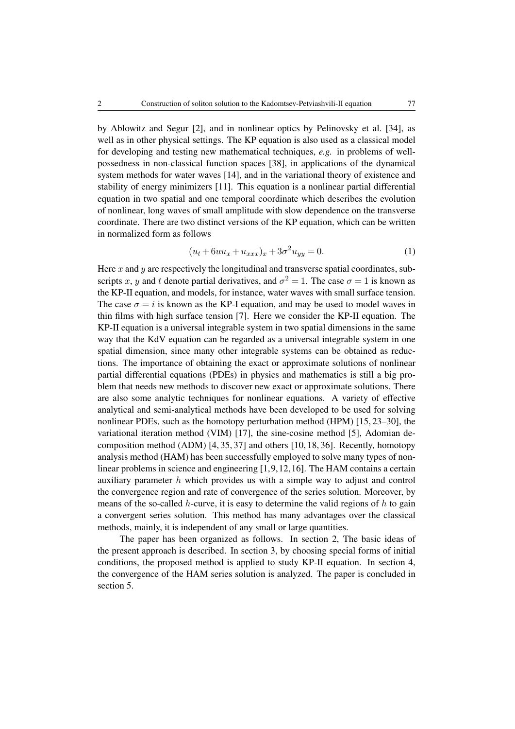by Ablowitz and Segur [2], and in nonlinear optics by Pelinovsky et al. [34], as well as in other physical settings. The KP equation is also used as a classical model for developing and testing new mathematical techniques, *e.g.* in problems of wellpossedness in non-classical function spaces [38], in applications of the dynamical system methods for water waves [14], and in the variational theory of existence and stability of energy minimizers [11]. This equation is a nonlinear partial differential equation in two spatial and one temporal coordinate which describes the evolution of nonlinear, long waves of small amplitude with slow dependence on the transverse coordinate. There are two distinct versions of the KP equation, which can be written in normalized form as follows

$$
(u_t + 6uu_x + u_{xxx})_x + 3\sigma^2 u_{yy} = 0.
$$
 (1)

Here *x* and *y* are respectively the longitudinal and transverse spatial coordinates, subscripts *x*, *y* and *t* denote partial derivatives, and  $\sigma^2 = 1$ . The case  $\sigma = 1$  is known as the KP-II equation, and models, for instance, water waves with small surface tension. The case  $\sigma = i$  is known as the KP-I equation, and may be used to model waves in thin films with high surface tension [7]. Here we consider the KP-II equation. The KP-II equation is a universal integrable system in two spatial dimensions in the same way that the KdV equation can be regarded as a universal integrable system in one spatial dimension, since many other integrable systems can be obtained as reductions. The importance of obtaining the exact or approximate solutions of nonlinear partial differential equations (PDEs) in physics and mathematics is still a big problem that needs new methods to discover new exact or approximate solutions. There are also some analytic techniques for nonlinear equations. A variety of effective analytical and semi-analytical methods have been developed to be used for solving nonlinear PDEs, such as the homotopy perturbation method (HPM) [15, 23–30], the variational iteration method (VIM) [17], the sine-cosine method [5], Adomian decomposition method (ADM) [4, 35, 37] and others [10, 18, 36]. Recently, homotopy analysis method (HAM) has been successfully employed to solve many types of nonlinear problems in science and engineering [1,9,12,16]. The HAM contains a certain auxiliary parameter *h* which provides us with a simple way to adjust and control the convergence region and rate of convergence of the series solution. Moreover, by means of the so-called *h*-curve, it is easy to determine the valid regions of *h* to gain a convergent series solution. This method has many advantages over the classical methods, mainly, it is independent of any small or large quantities.

The paper has been organized as follows. In section 2, The basic ideas of the present approach is described. In section 3, by choosing special forms of initial conditions, the proposed method is applied to study KP-II equation. In section 4, the convergence of the HAM series solution is analyzed. The paper is concluded in section 5.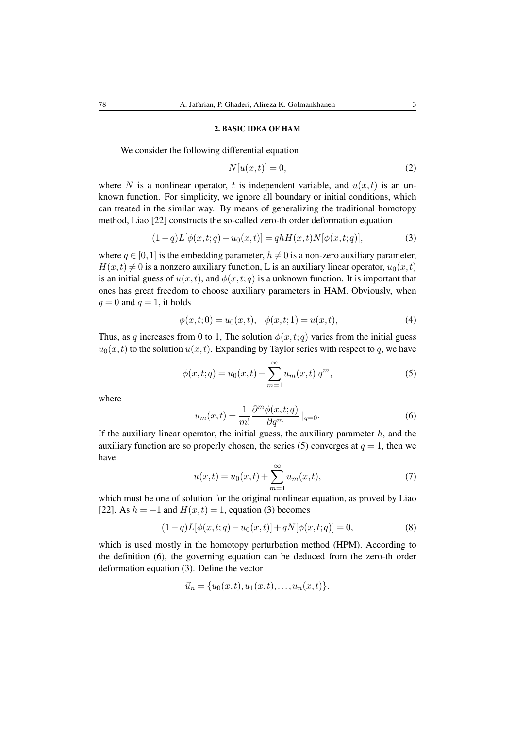#### 2. BASIC IDEA OF HAM

We consider the following differential equation

$$
N[u(x,t)] = 0,\t(2)
$$

where N is a nonlinear operator, t is independent variable, and  $u(x, t)$  is an unknown function. For simplicity, we ignore all boundary or initial conditions, which can treated in the similar way. By means of generalizing the traditional homotopy method, Liao [22] constructs the so-called zero-th order deformation equation

$$
(1-q)L[\phi(x,t;q) - u_0(x,t)] = qhH(x,t)N[\phi(x,t;q)],
$$
\n(3)

where  $q \in [0,1]$  is the embedding parameter,  $h \neq 0$  is a non-zero auxiliary parameter,  $H(x,t) \neq 0$  is a nonzero auxiliary function, L is an auxiliary linear operator,  $u_0(x,t)$ is an initial guess of  $u(x, t)$ , and  $\phi(x, t; q)$  is a unknown function. It is important that ones has great freedom to choose auxiliary parameters in HAM. Obviously, when  $q = 0$  and  $q = 1$ , it holds

$$
\phi(x,t;0) = u_0(x,t), \quad \phi(x,t;1) = u(x,t),\tag{4}
$$

Thus, as *q* increases from 0 to 1, The solution  $\phi(x, t; q)$  varies from the initial guess  $u_0(x, t)$  to the solution  $u(x, t)$ . Expanding by Taylor series with respect to *q*, we have

$$
\phi(x,t;q) = u_0(x,t) + \sum_{m=1}^{\infty} u_m(x,t) q^m,
$$
\n(5)

where

$$
u_m(x,t) = \frac{1}{m!} \frac{\partial^m \phi(x,t;q)}{\partial q^m} \mid_{q=0}.
$$
 (6)

If the auxiliary linear operator, the initial guess, the auxiliary parameter *h*, and the auxiliary function are so properly chosen, the series (5) converges at  $q = 1$ , then we have

$$
u(x,t) = u_0(x,t) + \sum_{m=1}^{\infty} u_m(x,t),
$$
\n(7)

which must be one of solution for the original nonlinear equation, as proved by Liao [22]. As  $h = -1$  and  $H(x,t) = 1$ , equation (3) becomes

$$
(1-q)L[\phi(x,t;q) - u_0(x,t)] + qN[\phi(x,t;q)] = 0,
$$
\n(8)

which is used mostly in the homotopy perturbation method (HPM). According to the definition (6), the governing equation can be deduced from the zero-th order deformation equation (3). Define the vector

$$
\vec{u}_n = \{u_0(x,t), u_1(x,t), \dots, u_n(x,t)\}.
$$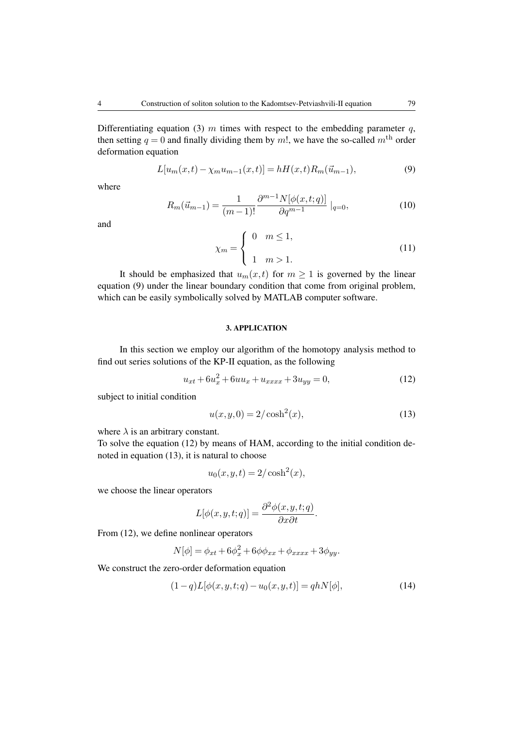Differentiating equation (3) *m* times with respect to the embedding parameter *q*, then setting  $q = 0$  and finally dividing them by m!, we have the so-called  $m<sup>th</sup>$  order deformation equation

$$
L[u_m(x,t) - \chi_m u_{m-1}(x,t)] = hH(x,t)R_m(\vec{u}_{m-1}),
$$
\n(9)

where

$$
R_m(\vec{u}_{m-1}) = \frac{1}{(m-1)!} \frac{\partial^{m-1} N[\phi(x, t; q)]}{\partial q^{m-1}} \mid_{q=0},
$$
\n(10)

and

$$
\chi_m = \begin{cases} 0 & m \le 1, \\ 1 & m > 1. \end{cases}
$$
 (11)

It should be emphasized that  $u_m(x, t)$  for  $m \geq 1$  is governed by the linear equation (9) under the linear boundary condition that come from original problem, which can be easily symbolically solved by MATLAB computer software.

## 3. APPLICATION

In this section we employ our algorithm of the homotopy analysis method to find out series solutions of the KP-II equation, as the following

$$
u_{xt} + 6u_x^2 + 6uu_x + u_{xxxx} + 3u_{yy} = 0,\t(12)
$$

subject to initial condition

$$
u(x, y, 0) = 2/\cosh^2(x),
$$
\n(13)

where  $\lambda$  is an arbitrary constant.

To solve the equation (12) by means of HAM, according to the initial condition denoted in equation (13), it is natural to choose

$$
u_0(x, y, t) = 2/\cosh^2(x),
$$

we choose the linear operators

$$
L[\phi(x, y, t; q)] = \frac{\partial^2 \phi(x, y, t; q)}{\partial x \partial t}.
$$

From (12), we define nonlinear operators

$$
N[\phi] = \phi_{xt} + 6\phi_x^2 + 6\phi\phi_{xx} + \phi_{xxxx} + 3\phi_{yy}.
$$

We construct the zero-order deformation equation

$$
(1-q)L[\phi(x, y, t; q) - u_0(x, y, t)] = qhN[\phi],
$$
\n(14)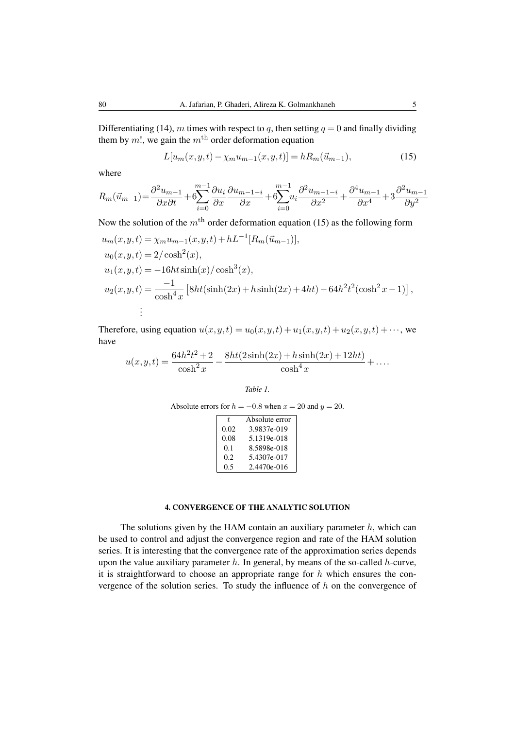Differentiating (14), *m* times with respect to *q*, then setting  $q = 0$  and finally dividing them by  $m!$ , we gain the  $m<sup>th</sup>$  order deformation equation

$$
L[u_m(x, y, t) - \chi_m u_{m-1}(x, y, t)] = hR_m(\vec{u}_{m-1}),
$$
\n(15)

where

$$
R_m(\vec{u}_{m-1}) = \frac{\partial^2 u_{m-1}}{\partial x \partial t} + 6 \sum_{i=0}^{m-1} \frac{\partial u_i}{\partial x} \frac{\partial u_{m-1-i}}{\partial x} + 6 \sum_{i=0}^{m-1} u_i \frac{\partial^2 u_{m-1-i}}{\partial x^2} + \frac{\partial^4 u_{m-1}}{\partial x^4} + 3 \frac{\partial^2 u_{m-1}}{\partial y^2}
$$

Now the solution of the  $m<sup>th</sup>$  order deformation equation (15) as the following form

$$
u_m(x, y, t) = \chi_m u_{m-1}(x, y, t) + hL^{-1}[R_m(\vec{u}_{m-1})],
$$
  
\n
$$
u_0(x, y, t) = 2/\cosh^2(x),
$$
  
\n
$$
u_1(x, y, t) = -16ht \sinh(x)/\cosh^3(x),
$$
  
\n
$$
u_2(x, y, t) = \frac{-1}{\cosh^4 x} [8ht(\sinh(2x) + h\sinh(2x) + 4ht) - 64h^2t^2(\cosh^2 x - 1)],
$$
  
\n
$$
\vdots
$$

Therefore, using equation  $u(x, y, t) = u_0(x, y, t) + u_1(x, y, t) + u_2(x, y, t) + \cdots$ , we have

$$
u(x,y,t) = \frac{64h^2t^2 + 2}{\cosh^2 x} - \frac{8ht(2\sinh(2x) + h\sinh(2x) + 12ht)}{\cosh^4 x} + \dots
$$

*Table 1.*

Absolute errors for 
$$
h = -0.8
$$
 when  $x = 20$  and  $y = 20$ .

| Ŧ.   | Absolute error |
|------|----------------|
| 0.02 | 3.9837e-019    |
| 0.08 | 5.1319e-018    |
| 0.1  | 8.5898e-018    |
| 0.2  | 5.4307e-017    |
| 0.5  | 2.4470e-016    |

## 4. CONVERGENCE OF THE ANALYTIC SOLUTION

The solutions given by the HAM contain an auxiliary parameter *h*, which can be used to control and adjust the convergence region and rate of the HAM solution series. It is interesting that the convergence rate of the approximation series depends upon the value auxiliary parameter *h*. In general, by means of the so-called *h*-curve, it is straightforward to choose an appropriate range for *h* which ensures the convergence of the solution series. To study the influence of *h* on the convergence of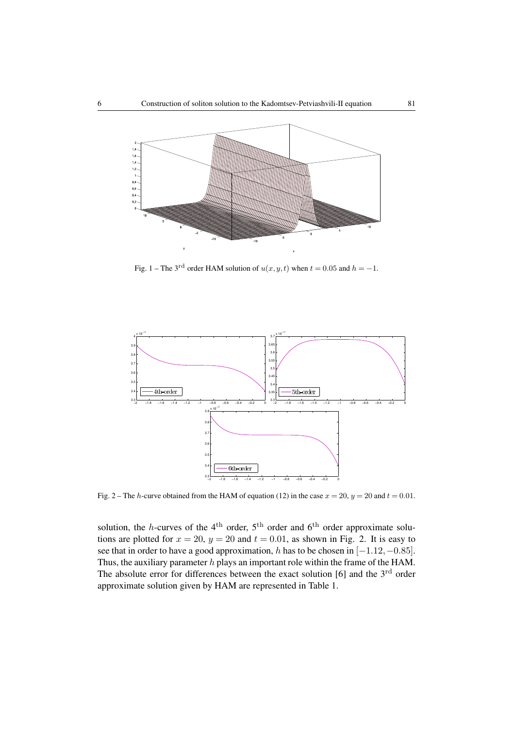

Fig. 1 – The 3<sup>rd</sup> order HAM solution of  $u(x, y, t)$  when  $t = 0.05$  and  $h = -1$ .



Fig. 2 – The *h*-curve obtained from the HAM of equation (12) in the case  $x = 20$ ,  $y = 20$  and  $t = 0.01$ .

solution, the *h*-curves of the  $4<sup>th</sup>$  order,  $5<sup>th</sup>$  order and  $6<sup>th</sup>$  order approximate solutions are plotted for  $x = 20$ ,  $y = 20$  and  $t = 0.01$ , as shown in Fig. 2. It is easy to see that in order to have a good approximation, *h* has to be chosen in [*−*1*.*12*,−*0*.*85]. Thus, the auxiliary parameter *h* plays an important role within the frame of the HAM. The absolute error for differences between the exact solution  $[6]$  and the  $3<sup>rd</sup>$  order approximate solution given by HAM are represented in Table 1.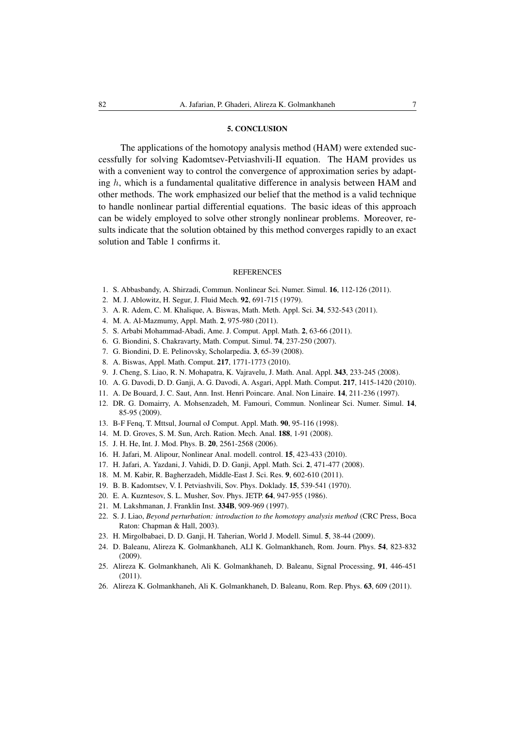#### 5. CONCLUSION

The applications of the homotopy analysis method (HAM) were extended successfully for solving Kadomtsev-Petviashvili-II equation. The HAM provides us with a convenient way to control the convergence of approximation series by adapting *h*, which is a fundamental qualitative difference in analysis between HAM and other methods. The work emphasized our belief that the method is a valid technique to handle nonlinear partial differential equations. The basic ideas of this approach can be widely employed to solve other strongly nonlinear problems. Moreover, results indicate that the solution obtained by this method converges rapidly to an exact solution and Table 1 confirms it.

#### **REFERENCES**

- 1. S. Abbasbandy, A. Shirzadi, Commun. Nonlinear Sci. Numer. Simul. 16, 112-126 (2011).
- 2. M. J. Ablowitz, H. Segur, J. Fluid Mech. 92, 691-715 (1979).
- 3. A. R. Adem, C. M. Khalique, A. Biswas, Math. Meth. Appl. Sci. 34, 532-543 (2011).
- 4. M. A. Al-Mazmumy, Appl. Math. 2, 975-980 (2011).
- 5. S. Arbabi Mohammad-Abadi, Ame. J. Comput. Appl. Math. 2, 63-66 (2011).
- 6. G. Biondini, S. Chakravarty, Math. Comput. Simul. 74, 237-250 (2007).
- 7. G. Biondini, D. E. Pelinovsky, Scholarpedia. 3, 65-39 (2008).
- 8. A. Biswas, Appl. Math. Comput. 217, 1771-1773 (2010).
- 9. J. Cheng, S. Liao, R. N. Mohapatra, K. Vajravelu, J. Math. Anal. Appl. 343, 233-245 (2008).
- 10. A. G. Davodi, D. D. Ganji, A. G. Davodi, A. Asgari, Appl. Math. Comput. 217, 1415-1420 (2010).
- 11. A. De Bouard, J. C. Saut, Ann. Inst. Henri Poincare. Anal. Non Linaire. 14, 211-236 (1997).
- 12. DR. G. Domairry, A. Mohsenzadeh, M. Famouri, Commun. Nonlinear Sci. Numer. Simul. 14, 85-95 (2009).
- 13. B-F Fenq, T. Mttsul, Journal oJ Comput. Appl. Math. 90, 95-116 (1998).
- 14. M. D. Groves, S. M. Sun, Arch. Ration. Mech. Anal. 188, 1-91 (2008).
- 15. J. H. He, Int. J. Mod. Phys. B. 20, 2561-2568 (2006).
- 16. H. Jafari, M. Alipour, Nonlinear Anal. modell. control. 15, 423-433 (2010).
- 17. H. Jafari, A. Yazdani, J. Vahidi, D. D. Ganji, Appl. Math. Sci. 2, 471-477 (2008).
- 18. M. M. Kabir, R. Bagherzadeh, Middle-East J. Sci. Res. 9, 602-610 (2011).
- 19. B. B. Kadomtsev, V. I. Petviashvili, Sov. Phys. Doklady. 15, 539-541 (1970).
- 20. E. A. Kuzntesov, S. L. Musher, Sov. Phys. JETP. 64, 947-955 (1986).
- 21. M. Lakshmanan, J. Franklin Inst. 334B, 909-969 (1997).
- 22. S. J. Liao, *Beyond perturbation: introduction to the homotopy analysis method* (CRC Press, Boca Raton: Chapman & Hall, 2003).
- 23. H. Mirgolbabaei, D. D. Ganji, H. Taherian, World J. Modell. Simul. 5, 38-44 (2009).
- 24. D. Baleanu, Alireza K. Golmankhaneh, ALI K. Golmankhaneh, Rom. Journ. Phys. 54, 823-832 (2009).
- 25. Alireza K. Golmankhaneh, Ali K. Golmankhaneh, D. Baleanu, Signal Processing, 91, 446-451 (2011).
- 26. Alireza K. Golmankhaneh, Ali K. Golmankhaneh, D. Baleanu, Rom. Rep. Phys. 63, 609 (2011).